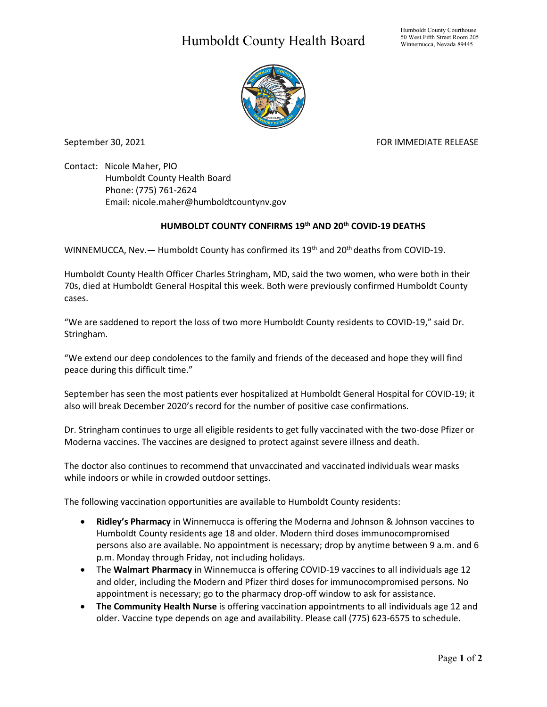## Humboldt County Health Board



September 30, 2021 FOR IMMEDIATE RELEASE

Contact: Nicole Maher, PIO Humboldt County Health Board Phone: (775) 761-2624 Email: nicole.maher@humboldtcountynv.gov

## **HUMBOLDT COUNTY CONFIRMS 19th AND 20th COVID-19 DEATHS**

WINNEMUCCA, Nev.  $-$  Humboldt County has confirmed its 19<sup>th</sup> and 20<sup>th</sup> deaths from COVID-19.

Humboldt County Health Officer Charles Stringham, MD, said the two women, who were both in their 70s, died at Humboldt General Hospital this week. Both were previously confirmed Humboldt County cases.

"We are saddened to report the loss of two more Humboldt County residents to COVID-19," said Dr. Stringham.

"We extend our deep condolences to the family and friends of the deceased and hope they will find peace during this difficult time."

September has seen the most patients ever hospitalized at Humboldt General Hospital for COVID-19; it also will break December 2020's record for the number of positive case confirmations.

Dr. Stringham continues to urge all eligible residents to get fully vaccinated with the two-dose Pfizer or Moderna vaccines. The vaccines are designed to protect against severe illness and death.

The doctor also continues to recommend that unvaccinated and vaccinated individuals wear masks while indoors or while in crowded outdoor settings.

The following vaccination opportunities are available to Humboldt County residents:

- **Ridley's Pharmacy** in Winnemucca is offering the Moderna and Johnson & Johnson vaccines to Humboldt County residents age 18 and older. Modern third doses immunocompromised persons also are available. No appointment is necessary; drop by anytime between 9 a.m. and 6 p.m. Monday through Friday, not including holidays.
- The **Walmart Pharmacy** in Winnemucca is offering COVID-19 vaccines to all individuals age 12 and older, including the Modern and Pfizer third doses for immunocompromised persons. No appointment is necessary; go to the pharmacy drop-off window to ask for assistance.
- **The Community Health Nurse** is offering vaccination appointments to all individuals age 12 and older. Vaccine type depends on age and availability. Please call (775) 623-6575 to schedule.